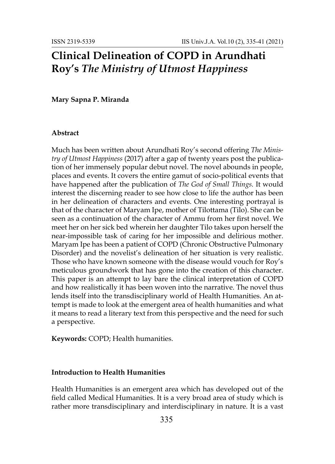# **Clinical Delineation of COPD in Arundhati Roy's** *The Ministry of Utmost Happiness*

## **Mary Sapna P. Miranda**

#### **Abstract**

Much has been written about Arundhati Roy's second offering *The Ministry of Utmost Happiness* (2017) after a gap of twenty years post the publication of her immensely popular debut novel. The novel abounds in people, places and events. It covers the entire gamut of socio-political events that have happened after the publication of *The God of Small Things.* It would interest the discerning reader to see how close to life the author has been in her delineation of characters and events. One interesting portrayal is that of the character of Maryam Ipe, mother of Tilottama (Tilo). She can be seen as a continuation of the character of Ammu from her first novel. We meet her on her sick bed wherein her daughter Tilo takes upon herself the near-impossible task of caring for her impossible and delirious mother. Maryam Ipe has been a patient of COPD (Chronic Obstructive Pulmonary Disorder) and the novelist's delineation of her situation is very realistic. Those who have known someone with the disease would vouch for Roy's meticulous groundwork that has gone into the creation of this character. This paper is an attempt to lay bare the clinical interpretation of COPD and how realistically it has been woven into the narrative. The novel thus lends itself into the transdisciplinary world of Health Humanities. An attempt is made to look at the emergent area of health humanities and what it means to read a literary text from this perspective and the need for such a perspective.

**Keywords:** COPD; Health humanities.

### **Introduction to Health Humanities**

Health Humanities is an emergent area which has developed out of the field called Medical Humanities. It is a very broad area of study which is rather more transdisciplinary and interdisciplinary in nature. It is a vast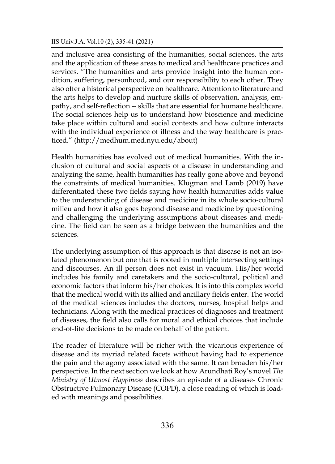#### IIS Univ.J.A. Vol.10 (2), 335-41 (2021)

and inclusive area consisting of the humanities, social sciences, the arts and the application of these areas to medical and healthcare practices and services. "The humanities and arts provide insight into the human condition, suffering, personhood, and our responsibility to each other. They also offer a historical perspective on healthcare. Attention to literature and the arts helps to develop and nurture skills of observation, analysis, empathy, and self-reflection -- skills that are essential for humane healthcare. The social sciences help us to understand how bioscience and medicine take place within cultural and social contexts and how culture interacts with the individual experience of illness and the way healthcare is practiced." (<http://medhum.med.nyu.edu/about>)

Health humanities has evolved out of medical humanities. With the inclusion of cultural and social aspects of a disease in understanding and analyzing the same, health humanities has really gone above and beyond the constraints of medical humanities. Klugman and Lamb (2019) have differentiated these two fields saying how health humanities adds value to the understanding of disease and medicine in its whole socio-cultural milieu and how it also goes beyond disease and medicine by questioning and challenging the underlying assumptions about diseases and medicine. The field can be seen as a bridge between the humanities and the sciences.

The underlying assumption of this approach is that disease is not an isolated phenomenon but one that is rooted in multiple intersecting settings and discourses. An ill person does not exist in vacuum. His/her world includes his family and caretakers and the socio-cultural, political and economic factors that inform his/her choices. It is into this complex world that the medical world with its allied and ancillary fields enter. The world of the medical sciences includes the doctors, nurses, hospital helps and technicians. Along with the medical practices of diagnoses and treatment of diseases, the field also calls for moral and ethical choices that include end-of-life decisions to be made on behalf of the patient.

The reader of literature will be richer with the vicarious experience of disease and its myriad related facets without having had to experience the pain and the agony associated with the same. It can broaden his/her perspective. In the next section we look at how Arundhati Roy's novel *The Ministry of Utmost Happiness* describes an episode of a disease- Chronic Obstructive Pulmonary Disease (COPD), a close reading of which is loaded with meanings and possibilities.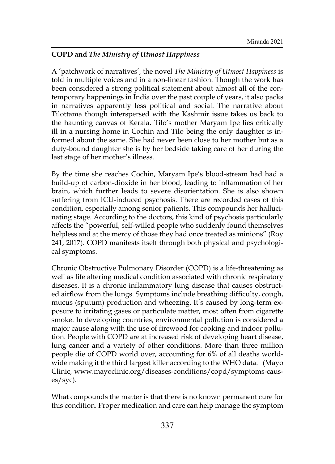# **COPD and** *The Ministry of Utmost Happiness*

A 'patchwork of narratives', the novel *The Ministry of Utmost Happiness* is told in multiple voices and in a non-linear fashion. Though the work has been considered a strong political statement about almost all of the contemporary happenings in India over the past couple of years, it also packs in narratives apparently less political and social. The narrative about Tilottama though interspersed with the Kashmir issue takes us back to the haunting canvas of Kerala. Tilo's mother Maryam Ipe lies critically ill in a nursing home in Cochin and Tilo being the only daughter is informed about the same. She had never been close to her mother but as a duty-bound daughter she is by her bedside taking care of her during the last stage of her mother's illness.

By the time she reaches Cochin, Maryam Ipe's blood-stream had had a build-up of carbon-dioxide in her blood, leading to inflammation of her brain, which further leads to severe disorientation. She is also shown suffering from ICU-induced psychosis. There are recorded cases of this condition, especially among senior patients. This compounds her hallucinating stage. According to the doctors, this kind of psychosis particularly affects the "powerful, self-willed people who suddenly found themselves helpless and at the mercy of those they had once treated as minions" (Roy 241, 2017). COPD manifests itself through both physical and psychological symptoms.

Chronic Obstructive Pulmonary Disorder (COPD) is a life-threatening as well as life altering medical condition associated with chronic respiratory diseases. It is a chronic inflammatory lung disease that causes obstructed airflow from the lungs. Symptoms include breathing difficulty, cough, mucus (sputum) production and wheezing. It's caused by long-term exposure to irritating gases or particulate matter, most often from cigarette smoke. In developing countries, environmental pollution is considered a major cause along with the use of firewood for cooking and indoor pollution. People with COPD are at increased risk of developing heart disease, lung cancer and a variety of other conditions. More than three million people die of COPD world over, accounting for 6% of all deaths worldwide making it the third largest killer according to the WHO data. (Mayo Clinic, www.mayoclinic.org/diseases-conditions/copd/symptoms-causes/syc).

What compounds the matter is that there is no known permanent cure for this condition. Proper medication and care can help manage the symptom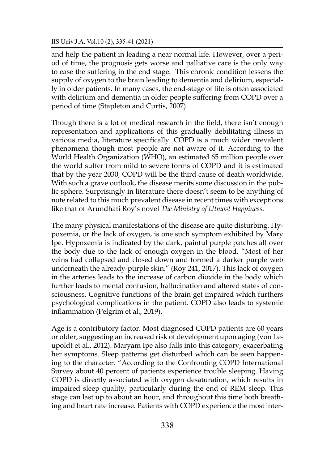#### IIS Univ.J.A. Vol.10 (2), 335-41 (2021)

and help the patient in leading a near normal life. However, over a period of time, the prognosis gets worse and palliative care is the only way to ease the suffering in the end stage. This chronic condition lessens the supply of oxygen to the brain leading to dementia and delirium, especially in older patients. In many cases, the end-stage of life is often associated with delirium and dementia in older people suffering from COPD over a period of time (Stapleton and Curtis, 2007).

Though there is a lot of medical research in the field, there isn't enough representation and applications of this gradually debilitating illness in various media, literature specifically. COPD is a much wider prevalent phenomena though most people are not aware of it. According to the World Health Organization (WHO), an estimated 65 million people over the world suffer from mild to severe forms of COPD and it is estimated that by the year 2030, COPD will be the third cause of death worldwide. With such a grave outlook, the disease merits some discussion in the public sphere. Surprisingly in literature there doesn't seem to be anything of note related to this much prevalent disease in recent times with exceptions like that of Arundhati Roy's novel *The Ministry of Utmost Happiness.*

The many physical manifestations of the disease are quite disturbing. Hypoxemia, or the lack of oxygen, is one such symptom exhibited by Mary Ipe. Hypoxemia is indicated by the dark, painful purple patches all over the body due to the lack of enough oxygen in the blood. "Most of her veins had collapsed and closed down and formed a darker purple web underneath the already-purple skin." (Roy 241, 2017). This lack of oxygen in the arteries leads to the increase of carbon dioxide in the body which further leads to mental confusion, hallucination and altered states of consciousness. Cognitive functions of the brain get impaired which furthers psychological complications in the patient. COPD also leads to systemic inflammation (Pelgrim et al., 2019).

Age is a contributory factor. Most diagnosed COPD patients are 60 years or older, suggesting an increased risk of development upon aging (von Leupoldt et al., 2012). Maryam Ipe also falls into this category, exacerbating her symptoms. Sleep patterns get disturbed which can be seen happening to the character. "According to the [Confronting COPD International](http://err.ersjournals.com/content/22/129/365.full)  [Survey](http://err.ersjournals.com/content/22/129/365.full) about 40 percent of patients experience trouble sleeping. Having COPD is directly associated with oxygen desaturation, which results in impaired sleep quality, particularly during the end of REM sleep. This stage can last up to about an hour, and throughout this time both breathing and heart rate increase. Patients with COPD experience the most inter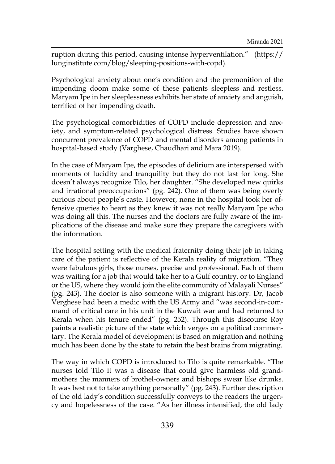ruption during this period, causing intense hyperventilation." (https:// lunginstitute.com/blog/sleeping-positions-with-copd).

Psychological anxiety about one's condition and the premonition of the impending doom make some of these patients sleepless and restless. Maryam Ipe in her sleeplessness exhibits her state of anxiety and anguish, terrified of her impending death.

The psychological comorbidities of COPD include depression and anxiety, and symptom-related psychological distress. Studies have shown concurrent prevalence of COPD and mental disorders among patients in hospital-based study (Varghese, Chaudhari and Mara 2019).

In the case of Maryam Ipe, the episodes of delirium are interspersed with moments of lucidity and tranquility but they do not last for long. She doesn't always recognize Tilo, her daughter. "She developed new quirks and irrational preoccupations" (pg. 242). One of them was being overly curious about people's caste. However, none in the hospital took her offensive queries to heart as they knew it was not really Maryam Ipe who was doing all this. The nurses and the doctors are fully aware of the implications of the disease and make sure they prepare the caregivers with the information.

The hospital setting with the medical fraternity doing their job in taking care of the patient is reflective of the Kerala reality of migration. "They were fabulous girls, those nurses, precise and professional. Each of them was waiting for a job that would take her to a Gulf country, or to England or the US, where they would join the elite community of Malayali Nurses" (pg. 243). The doctor is also someone with a migrant history. Dr, Jacob Verghese had been a medic with the US Army and "was second-in-command of critical care in his unit in the Kuwait war and had returned to Kerala when his tenure ended" (pg. 252). Through this discourse Roy paints a realistic picture of the state which verges on a political commentary. The Kerala model of development is based on migration and nothing much has been done by the state to retain the best brains from migrating.

The way in which COPD is introduced to Tilo is quite remarkable. "The nurses told Tilo it was a disease that could give harmless old grandmothers the manners of brothel-owners and bishops swear like drunks. It was best not to take anything personally" (pg. 243). Further description of the old lady's condition successfully conveys to the readers the urgency and hopelessness of the case. "As her illness intensified, the old lady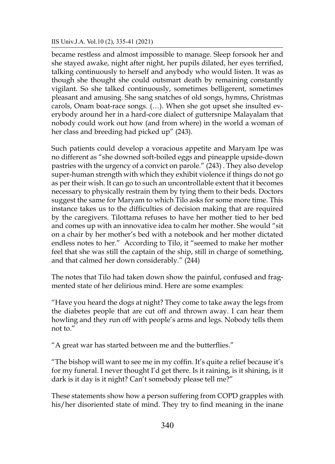#### IIS Univ.J.A. Vol.10 (2), 335-41 (2021)

became restless and almost impossible to manage. Sleep forsook her and she stayed awake, night after night, her pupils dilated, her eyes terrified, talking continuously to herself and anybody who would listen. It was as though she thought she could outsmart death by remaining constantly vigilant. So she talked continuously, sometimes belligerent, sometimes pleasant and amusing. She sang snatches of old songs, hymns, Christmas carols, Onam boat-race songs. (…). When she got upset she insulted everybody around her in a hard-core dialect of guttersnipe Malayalam that nobody could work out how (and from where) in the world a woman of her class and breeding had picked up" (243).

Such patients could develop a voracious appetite and Maryam Ipe was no different as "she downed soft-boiled eggs and pineapple upside-down pastries with the urgency of a convict on parole." (243) . They also develop super-human strength with which they exhibit violence if things do not go as per their wish. It can go to such an uncontrollable extent that it becomes necessary to physically restrain them by tying them to their beds. Doctors suggest the same for Maryam to which Tilo asks for some more time. This instance takes us to the difficulties of decision making that are required by the caregivers. Tilottama refuses to have her mother tied to her bed and comes up with an innovative idea to calm her mother. She would "sit on a chair by her mother's bed with a notebook and her mother dictated endless notes to her." According to Tilo, it "seemed to make her mother feel that she was still the captain of the ship, still in charge of something, and that calmed her down considerably." (244)

The notes that Tilo had taken down show the painful, confused and fragmented state of her delirious mind. Here are some examples:

"Have you heard the dogs at night? They come to take away the legs from the diabetes people that are cut off and thrown away. I can hear them howling and they run off with people's arms and legs. Nobody tells them not to."

"A great war has started between me and the butterflies."

"The bishop will want to see me in my coffin. It's quite a relief because it's for my funeral. I never thought I'd get there. Is it raining, is it shining, is it dark is it day is it night? Can't somebody please tell me?"

These statements show how a person suffering from COPD grapples with his/her disoriented state of mind. They try to find meaning in the inane